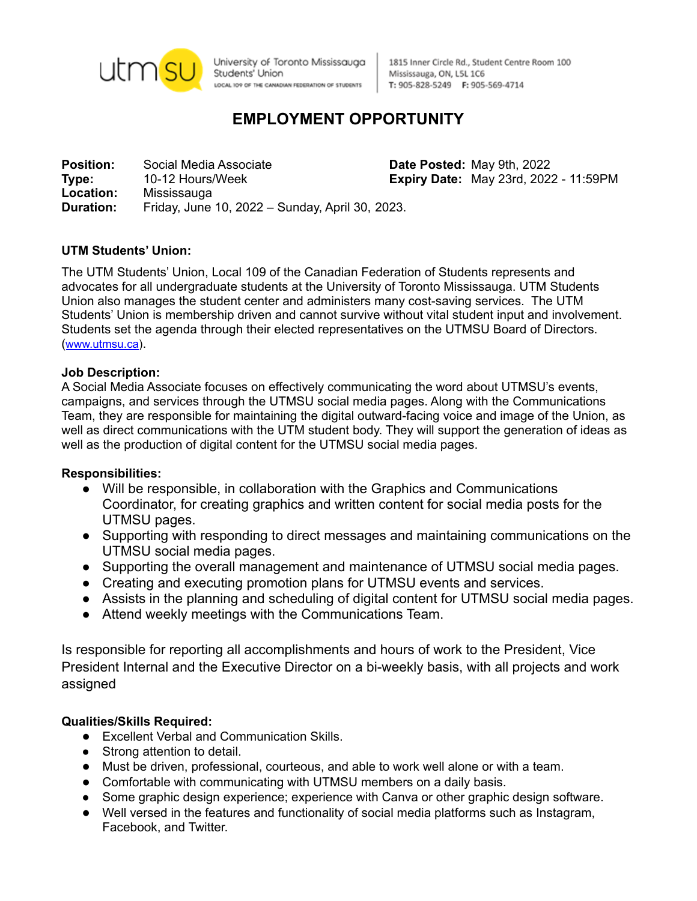

University of Toronto Mississauga Students' Union LOCAL IO9 OF THE CANADIAN FEDERATION OF STUDENTS

1815 Inner Circle Rd., Student Centre Room 100 Mississauga, ON, L5L 1C6 T: 905-828-5249 F: 905-569-4714

# **EMPLOYMENT OPPORTUNITY**

**Position:** Social Media Associate **Date Posted:** May 9th, 2022 **Type:** 10-12 Hours/Week **Expiry Date:** May 23rd, 2022 - 11:59PM **Location:** Mississauga **Duration:** Friday, June 10, 2022 – Sunday, April 30, 2023.

## **UTM Students' Union:**

The UTM Students' Union, Local 109 of the Canadian Federation of Students represents and advocates for all undergraduate students at the University of Toronto Mississauga. UTM Students Union also manages the student center and administers many cost-saving services. The UTM Students' Union is membership driven and cannot survive without vital student input and involvement. Students set the agenda through their elected representatives on the UTMSU Board of Directors. ([www.utmsu.ca](http://www.utmsu.ca)).

## **Job Description:**

A Social Media Associate focuses on effectively communicating the word about UTMSU's events, campaigns, and services through the UTMSU social media pages. Along with the Communications Team, they are responsible for maintaining the digital outward-facing voice and image of the Union, as well as direct communications with the UTM student body. They will support the generation of ideas as well as the production of digital content for the UTMSU social media pages.

## **Responsibilities:**

- Will be responsible, in collaboration with the Graphics and Communications Coordinator, for creating graphics and written content for social media posts for the UTMSU pages.
- Supporting with responding to direct messages and maintaining communications on the UTMSU social media pages.
- Supporting the overall management and maintenance of UTMSU social media pages.
- Creating and executing promotion plans for UTMSU events and services.
- Assists in the planning and scheduling of digital content for UTMSU social media pages.
- Attend weekly meetings with the Communications Team.

Is responsible for reporting all accomplishments and hours of work to the President, Vice President Internal and the Executive Director on a bi-weekly basis, with all projects and work assigned

## **Qualities/Skills Required:**

- Excellent Verbal and Communication Skills.
- Strong attention to detail.
- Must be driven, professional, courteous, and able to work well alone or with a team.
- Comfortable with communicating with UTMSU members on a daily basis.
- Some graphic design experience; experience with Canva or other graphic design software.
- Well versed in the features and functionality of social media platforms such as Instagram, Facebook, and Twitter.